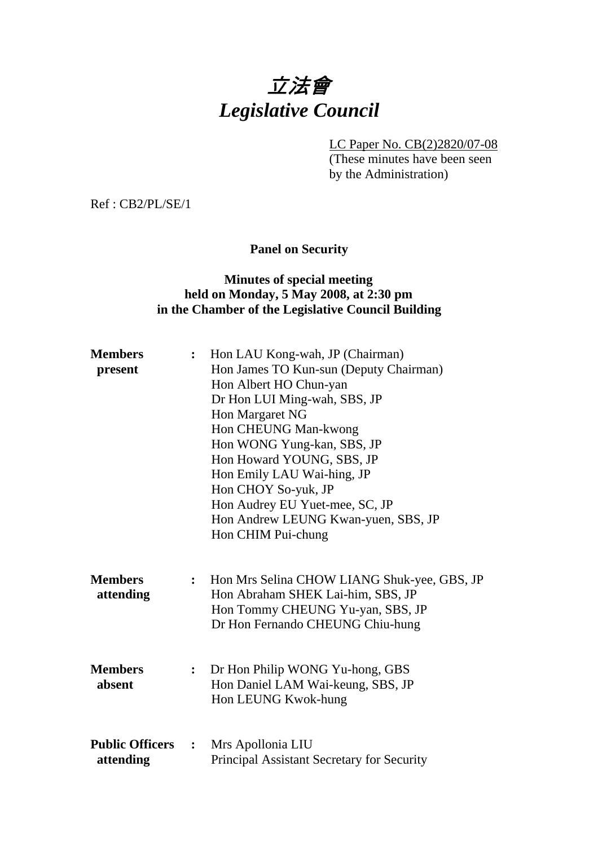# 立法會 *Legislative Council*

LC Paper No. CB(2)2820/07-08

(These minutes have been seen by the Administration)

Ref : CB2/PL/SE/1

# **Panel on Security**

## **Minutes of special meeting held on Monday, 5 May 2008, at 2:30 pm in the Chamber of the Legislative Council Building**

| <b>Members</b><br>present           | $\ddot{\cdot}$ | Hon LAU Kong-wah, JP (Chairman)<br>Hon James TO Kun-sun (Deputy Chairman)<br>Hon Albert HO Chun-yan<br>Dr Hon LUI Ming-wah, SBS, JP<br>Hon Margaret NG<br>Hon CHEUNG Man-kwong<br>Hon WONG Yung-kan, SBS, JP<br>Hon Howard YOUNG, SBS, JP<br>Hon Emily LAU Wai-hing, JP<br>Hon CHOY So-yuk, JP<br>Hon Audrey EU Yuet-mee, SC, JP<br>Hon Andrew LEUNG Kwan-yuen, SBS, JP<br>Hon CHIM Pui-chung |
|-------------------------------------|----------------|-----------------------------------------------------------------------------------------------------------------------------------------------------------------------------------------------------------------------------------------------------------------------------------------------------------------------------------------------------------------------------------------------|
| <b>Members</b><br>attending         | $\ddot{\cdot}$ | Hon Mrs Selina CHOW LIANG Shuk-yee, GBS, JP<br>Hon Abraham SHEK Lai-him, SBS, JP<br>Hon Tommy CHEUNG Yu-yan, SBS, JP<br>Dr Hon Fernando CHEUNG Chiu-hung                                                                                                                                                                                                                                      |
| <b>Members</b><br>absent            | $\ddot{\cdot}$ | Dr Hon Philip WONG Yu-hong, GBS<br>Hon Daniel LAM Wai-keung, SBS, JP<br>Hon LEUNG Kwok-hung                                                                                                                                                                                                                                                                                                   |
| <b>Public Officers</b><br>attending | :              | Mrs Apollonia LIU<br>Principal Assistant Secretary for Security                                                                                                                                                                                                                                                                                                                               |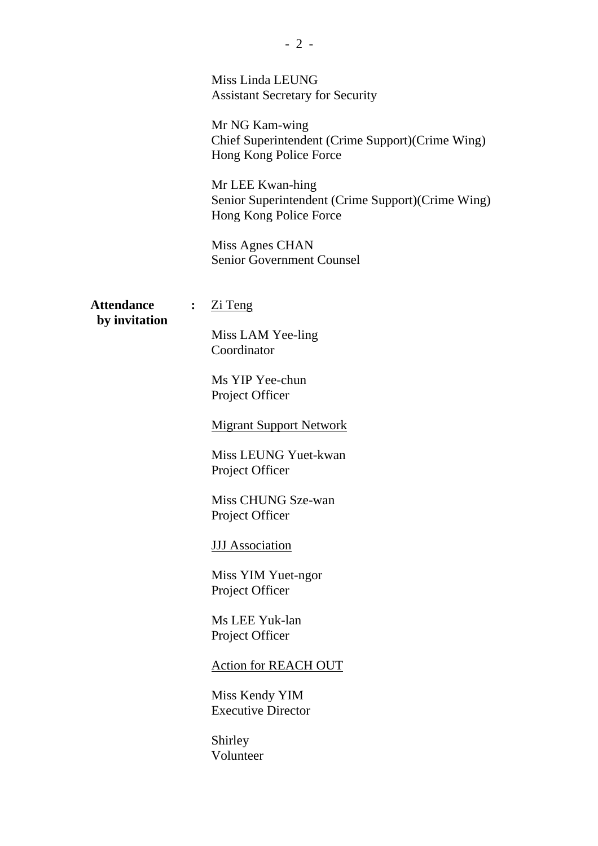|                                    | Miss Linda LEUNG<br><b>Assistant Secretary for Security</b><br>Mr NG Kam-wing<br>Chief Superintendent (Crime Support) (Crime Wing)<br>Hong Kong Police Force<br>Mr LEE Kwan-hing<br>Senior Superintendent (Crime Support)(Crime Wing)<br>Hong Kong Police Force<br>Miss Agnes CHAN<br><b>Senior Government Counsel</b>                                                                                                                    |
|------------------------------------|-------------------------------------------------------------------------------------------------------------------------------------------------------------------------------------------------------------------------------------------------------------------------------------------------------------------------------------------------------------------------------------------------------------------------------------------|
| <b>Attendance</b><br>by invitation | $Zi$ Teng<br>$\ddot{\cdot}$<br>Miss LAM Yee-ling<br>Coordinator<br>Ms YIP Yee-chun<br>Project Officer<br><b>Migrant Support Network</b><br>Miss LEUNG Yuet-kwan<br>Project Officer<br>Miss CHUNG Sze-wan<br>Project Officer<br><b>JJJ</b> Association<br>Miss YIM Yuet-ngor<br>Project Officer<br>Ms LEE Yuk-lan<br>Project Officer<br><b>Action for REACH OUT</b><br>Miss Kendy YIM<br><b>Executive Director</b><br>Shirley<br>Volunteer |
|                                    |                                                                                                                                                                                                                                                                                                                                                                                                                                           |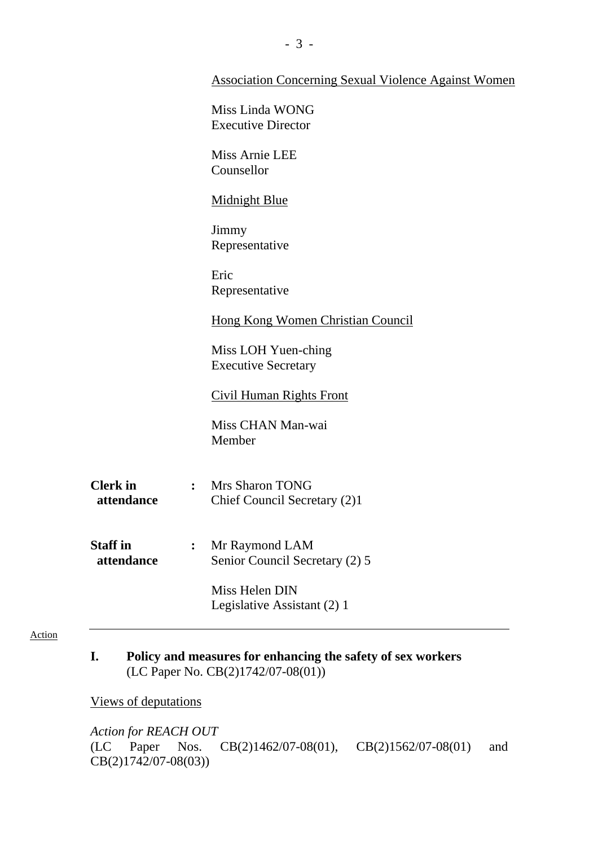|                               | <b>Association Concerning Sexual Violence Against Women</b>              |
|-------------------------------|--------------------------------------------------------------------------|
|                               | Miss Linda WONG<br><b>Executive Director</b>                             |
|                               | Miss Arnie LEE<br>Counsellor                                             |
|                               | <b>Midnight Blue</b>                                                     |
|                               | Jimmy<br>Representative                                                  |
|                               | Eric<br>Representative                                                   |
|                               | <b>Hong Kong Women Christian Council</b>                                 |
|                               | Miss LOH Yuen-ching<br><b>Executive Secretary</b>                        |
|                               | <b>Civil Human Rights Front</b>                                          |
|                               | Miss CHAN Man-wai<br>Member                                              |
| <b>Clerk</b> in<br>attendance | <b>Mrs Sharon TONG</b><br>$\ddot{\cdot}$<br>Chief Council Secretary (2)1 |
| <b>Staff in</b><br>attendance | Mr Raymond LAM<br>$\ddot{\cdot}$<br>Senior Council Secretary (2) 5       |
|                               | Miss Helen DIN<br>Legislative Assistant (2) 1                            |
|                               |                                                                          |

#### Action

**I. Policy and measures for enhancing the safety of sex workers**  (LC Paper No. CB(2)1742/07-08(01))

Views of deputations

*Action for REACH OUT*  (LC Paper Nos. CB(2)1462/07-08(01), CB(2)1562/07-08(01) and CB(2)1742/07-08(03))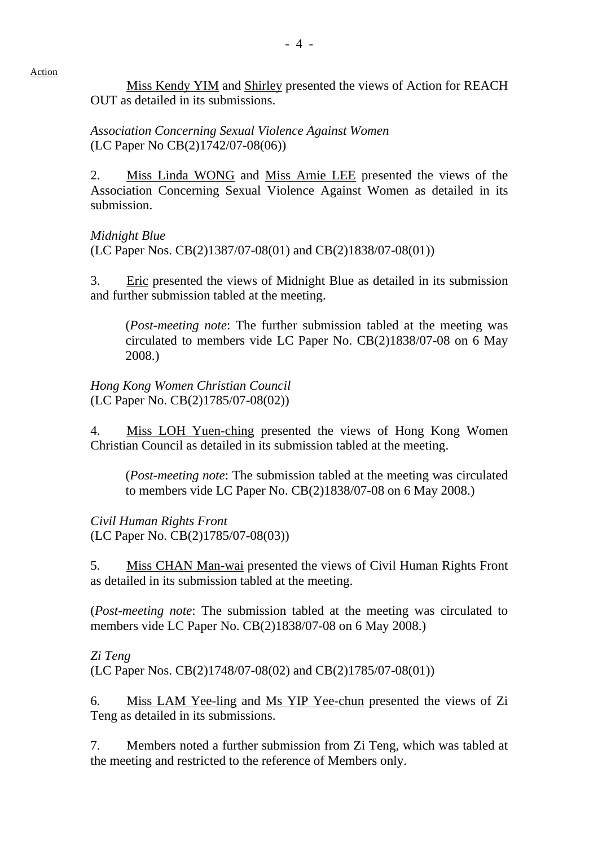Miss Kendy YIM and Shirley presented the views of Action for REACH OUT as detailed in its submissions.

*Association Concerning Sexual Violence Against Women*  (LC Paper No CB(2)1742/07-08(06))

2. Miss Linda WONG and Miss Arnie LEE presented the views of the Association Concerning Sexual Violence Against Women as detailed in its submission.

*Midnight Blue*  (LC Paper Nos. CB(2)1387/07-08(01) and CB(2)1838/07-08(01))

3. Eric presented the views of Midnight Blue as detailed in its submission and further submission tabled at the meeting.

(*Post-meeting note*: The further submission tabled at the meeting was circulated to members vide LC Paper No. CB(2)1838/07-08 on 6 May 2008.)

*Hong Kong Women Christian Council*  (LC Paper No. CB(2)1785/07-08(02))

4. Miss LOH Yuen-ching presented the views of Hong Kong Women Christian Council as detailed in its submission tabled at the meeting.

(*Post-meeting note*: The submission tabled at the meeting was circulated to members vide LC Paper No. CB(2)1838/07-08 on 6 May 2008.)

*Civil Human Rights Front*  (LC Paper No. CB(2)1785/07-08(03))

5. Miss CHAN Man-wai presented the views of Civil Human Rights Front as detailed in its submission tabled at the meeting.

(*Post-meeting note*: The submission tabled at the meeting was circulated to members vide LC Paper No. CB(2)1838/07-08 on 6 May 2008.)

## *Zi Teng*

Action

(LC Paper Nos. CB(2)1748/07-08(02) and CB(2)1785/07-08(01))

6. Miss LAM Yee-ling and Ms YIP Yee-chun presented the views of Zi Teng as detailed in its submissions.

7. Members noted a further submission from Zi Teng, which was tabled at the meeting and restricted to the reference of Members only.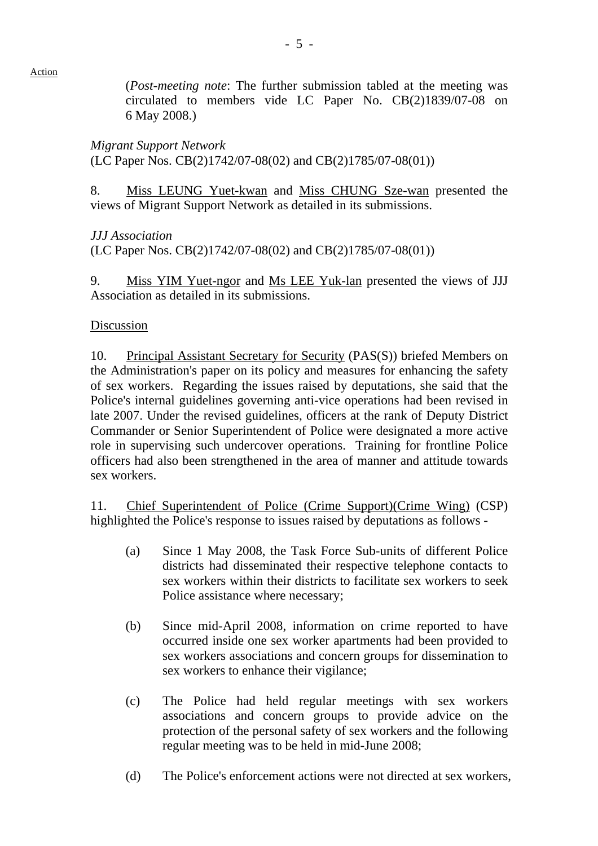Action

(*Post-meeting note*: The further submission tabled at the meeting was circulated to members vide LC Paper No. CB(2)1839/07-08 on 6 May 2008.)

*Migrant Support Network* 

(LC Paper Nos. CB(2)1742/07-08(02) and CB(2)1785/07-08(01))

8. Miss LEUNG Yuet-kwan and Miss CHUNG Sze-wan presented the views of Migrant Support Network as detailed in its submissions.

*JJJ Association* 

(LC Paper Nos. CB(2)1742/07-08(02) and CB(2)1785/07-08(01))

9. Miss YIM Yuet-ngor and Ms LEE Yuk-lan presented the views of JJJ Association as detailed in its submissions.

## Discussion

10. Principal Assistant Secretary for Security (PAS(S)) briefed Members on the Administration's paper on its policy and measures for enhancing the safety of sex workers. Regarding the issues raised by deputations, she said that the Police's internal guidelines governing anti-vice operations had been revised in late 2007. Under the revised guidelines, officers at the rank of Deputy District Commander or Senior Superintendent of Police were designated a more active role in supervising such undercover operations. Training for frontline Police officers had also been strengthened in the area of manner and attitude towards sex workers.

11. Chief Superintendent of Police (Crime Support)(Crime Wing) (CSP) highlighted the Police's response to issues raised by deputations as follows -

- (a) Since 1 May 2008, the Task Force Sub-units of different Police districts had disseminated their respective telephone contacts to sex workers within their districts to facilitate sex workers to seek Police assistance where necessary;
- (b) Since mid-April 2008, information on crime reported to have occurred inside one sex worker apartments had been provided to sex workers associations and concern groups for dissemination to sex workers to enhance their vigilance;
- (c) The Police had held regular meetings with sex workers associations and concern groups to provide advice on the protection of the personal safety of sex workers and the following regular meeting was to be held in mid-June 2008;
- (d) The Police's enforcement actions were not directed at sex workers,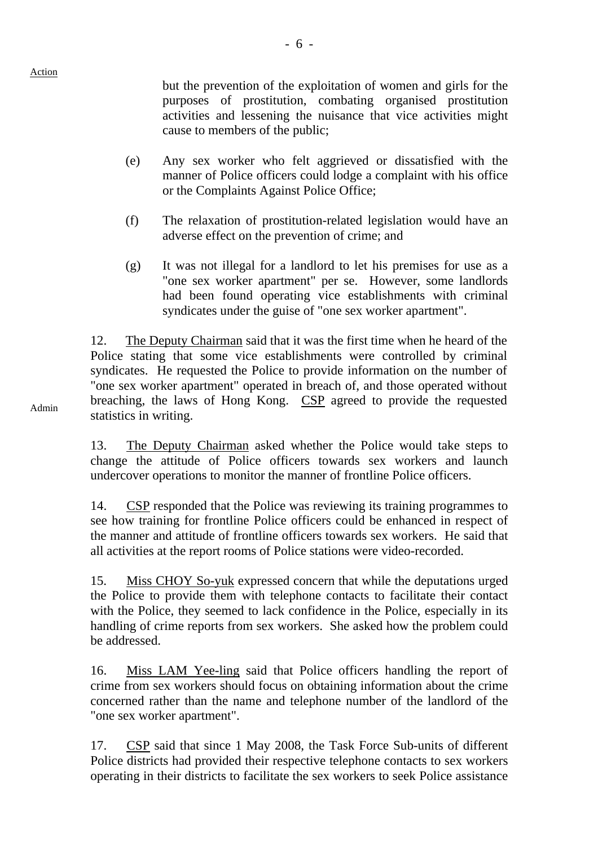but the prevention of the exploitation of women and girls for the purposes of prostitution, combating organised prostitution activities and lessening the nuisance that vice activities might cause to members of the public;

- (e) Any sex worker who felt aggrieved or dissatisfied with the manner of Police officers could lodge a complaint with his office or the Complaints Against Police Office;
- (f) The relaxation of prostitution-related legislation would have an adverse effect on the prevention of crime; and
- (g) It was not illegal for a landlord to let his premises for use as a "one sex worker apartment" per se. However, some landlords had been found operating vice establishments with criminal syndicates under the guise of "one sex worker apartment".

12. The Deputy Chairman said that it was the first time when he heard of the Police stating that some vice establishments were controlled by criminal syndicates. He requested the Police to provide information on the number of "one sex worker apartment" operated in breach of, and those operated without breaching, the laws of Hong Kong. CSP agreed to provide the requested statistics in writing.

Admin

13. The Deputy Chairman asked whether the Police would take steps to change the attitude of Police officers towards sex workers and launch undercover operations to monitor the manner of frontline Police officers.

14. CSP responded that the Police was reviewing its training programmes to see how training for frontline Police officers could be enhanced in respect of the manner and attitude of frontline officers towards sex workers. He said that all activities at the report rooms of Police stations were video-recorded.

15. Miss CHOY So-yuk expressed concern that while the deputations urged the Police to provide them with telephone contacts to facilitate their contact with the Police, they seemed to lack confidence in the Police, especially in its handling of crime reports from sex workers. She asked how the problem could be addressed.

16. Miss LAM Yee-ling said that Police officers handling the report of crime from sex workers should focus on obtaining information about the crime concerned rather than the name and telephone number of the landlord of the "one sex worker apartment".

17. CSP said that since 1 May 2008, the Task Force Sub-units of different Police districts had provided their respective telephone contacts to sex workers operating in their districts to facilitate the sex workers to seek Police assistance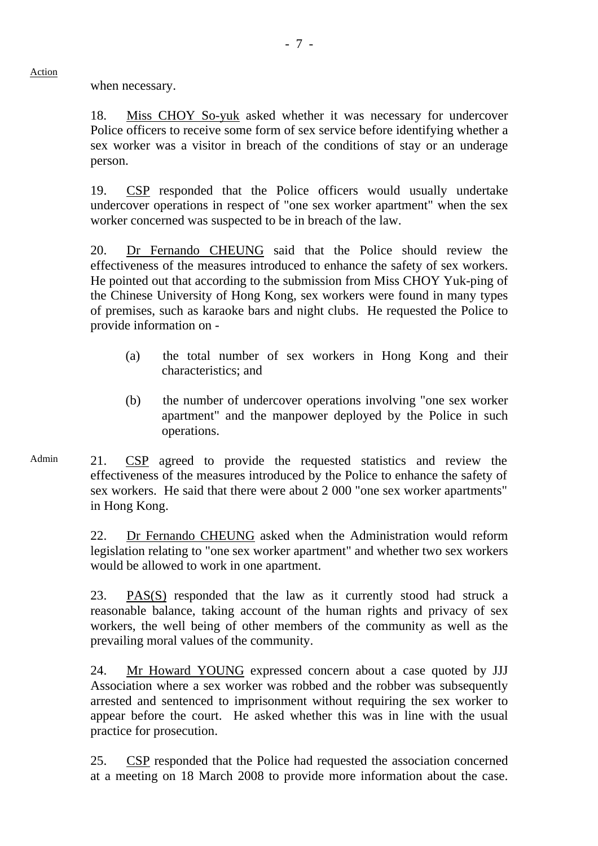when necessary.

Action

18. Miss CHOY So-yuk asked whether it was necessary for undercover Police officers to receive some form of sex service before identifying whether a sex worker was a visitor in breach of the conditions of stay or an underage person.

19. CSP responded that the Police officers would usually undertake undercover operations in respect of "one sex worker apartment" when the sex worker concerned was suspected to be in breach of the law.

20. Dr Fernando CHEUNG said that the Police should review the effectiveness of the measures introduced to enhance the safety of sex workers. He pointed out that according to the submission from Miss CHOY Yuk-ping of the Chinese University of Hong Kong, sex workers were found in many types of premises, such as karaoke bars and night clubs. He requested the Police to provide information on -

- (a) the total number of sex workers in Hong Kong and their characteristics; and
- (b) the number of undercover operations involving "one sex worker apartment" and the manpower deployed by the Police in such operations.
- Admin 21. CSP agreed to provide the requested statistics and review the effectiveness of the measures introduced by the Police to enhance the safety of sex workers. He said that there were about 2 000 "one sex worker apartments" in Hong Kong.

22. Dr Fernando CHEUNG asked when the Administration would reform legislation relating to "one sex worker apartment" and whether two sex workers would be allowed to work in one apartment.

23. PAS(S) responded that the law as it currently stood had struck a reasonable balance, taking account of the human rights and privacy of sex workers, the well being of other members of the community as well as the prevailing moral values of the community.

24. Mr Howard YOUNG expressed concern about a case quoted by JJJ Association where a sex worker was robbed and the robber was subsequently arrested and sentenced to imprisonment without requiring the sex worker to appear before the court. He asked whether this was in line with the usual practice for prosecution.

25. CSP responded that the Police had requested the association concerned at a meeting on 18 March 2008 to provide more information about the case.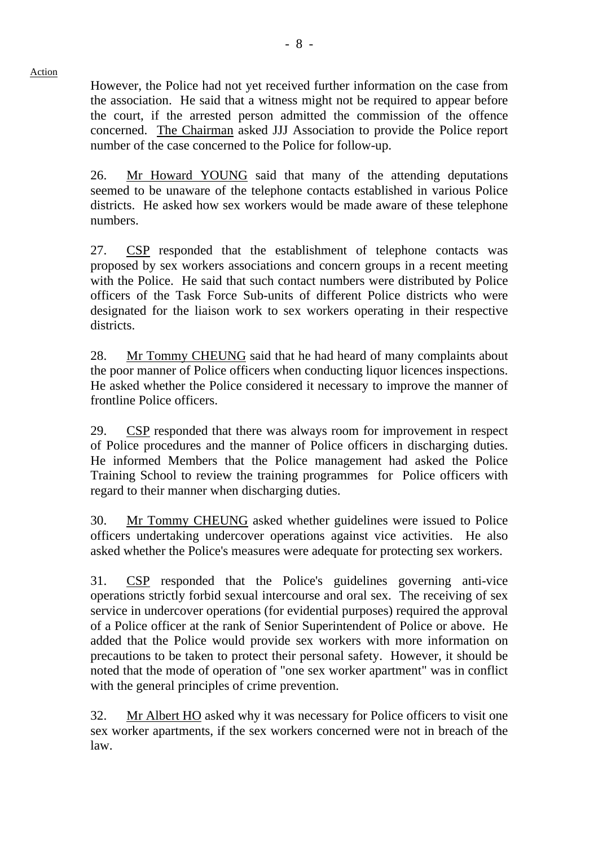However, the Police had not yet received further information on the case from the association. He said that a witness might not be required to appear before the court, if the arrested person admitted the commission of the offence concerned. The Chairman asked JJJ Association to provide the Police report number of the case concerned to the Police for follow-up.

Action

26. Mr Howard YOUNG said that many of the attending deputations seemed to be unaware of the telephone contacts established in various Police districts. He asked how sex workers would be made aware of these telephone numbers.

27. CSP responded that the establishment of telephone contacts was proposed by sex workers associations and concern groups in a recent meeting with the Police. He said that such contact numbers were distributed by Police officers of the Task Force Sub-units of different Police districts who were designated for the liaison work to sex workers operating in their respective districts.

28. Mr Tommy CHEUNG said that he had heard of many complaints about the poor manner of Police officers when conducting liquor licences inspections. He asked whether the Police considered it necessary to improve the manner of frontline Police officers.

29. CSP responded that there was always room for improvement in respect of Police procedures and the manner of Police officers in discharging duties. He informed Members that the Police management had asked the Police Training School to review the training programmes for Police officers with regard to their manner when discharging duties.

30. Mr Tommy CHEUNG asked whether guidelines were issued to Police officers undertaking undercover operations against vice activities. He also asked whether the Police's measures were adequate for protecting sex workers.

31. CSP responded that the Police's guidelines governing anti-vice operations strictly forbid sexual intercourse and oral sex. The receiving of sex service in undercover operations (for evidential purposes) required the approval of a Police officer at the rank of Senior Superintendent of Police or above. He added that the Police would provide sex workers with more information on precautions to be taken to protect their personal safety. However, it should be noted that the mode of operation of "one sex worker apartment" was in conflict with the general principles of crime prevention.

32. Mr Albert HO asked why it was necessary for Police officers to visit one sex worker apartments, if the sex workers concerned were not in breach of the law.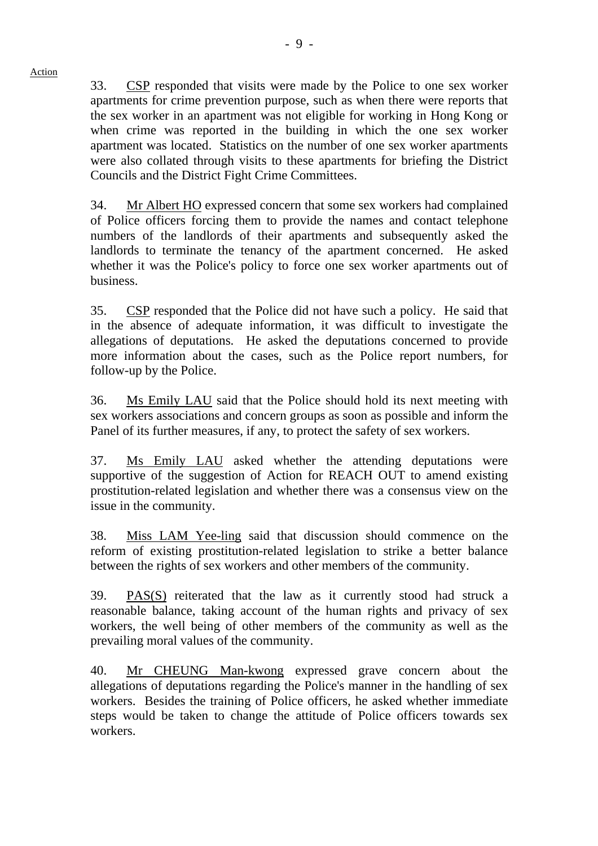33. CSP responded that visits were made by the Police to one sex worker apartments for crime prevention purpose, such as when there were reports that the sex worker in an apartment was not eligible for working in Hong Kong or when crime was reported in the building in which the one sex worker apartment was located. Statistics on the number of one sex worker apartments were also collated through visits to these apartments for briefing the District

Councils and the District Fight Crime Committees.

Action

34. Mr Albert HO expressed concern that some sex workers had complained of Police officers forcing them to provide the names and contact telephone numbers of the landlords of their apartments and subsequently asked the landlords to terminate the tenancy of the apartment concerned. He asked whether it was the Police's policy to force one sex worker apartments out of business.

35. CSP responded that the Police did not have such a policy. He said that in the absence of adequate information, it was difficult to investigate the allegations of deputations. He asked the deputations concerned to provide more information about the cases, such as the Police report numbers, for follow-up by the Police.

36. Ms Emily LAU said that the Police should hold its next meeting with sex workers associations and concern groups as soon as possible and inform the Panel of its further measures, if any, to protect the safety of sex workers.

37. Ms Emily LAU asked whether the attending deputations were supportive of the suggestion of Action for REACH OUT to amend existing prostitution-related legislation and whether there was a consensus view on the issue in the community.

38. Miss LAM Yee-ling said that discussion should commence on the reform of existing prostitution-related legislation to strike a better balance between the rights of sex workers and other members of the community.

39. PAS(S) reiterated that the law as it currently stood had struck a reasonable balance, taking account of the human rights and privacy of sex workers, the well being of other members of the community as well as the prevailing moral values of the community.

40. Mr CHEUNG Man-kwong expressed grave concern about the allegations of deputations regarding the Police's manner in the handling of sex workers. Besides the training of Police officers, he asked whether immediate steps would be taken to change the attitude of Police officers towards sex workers.